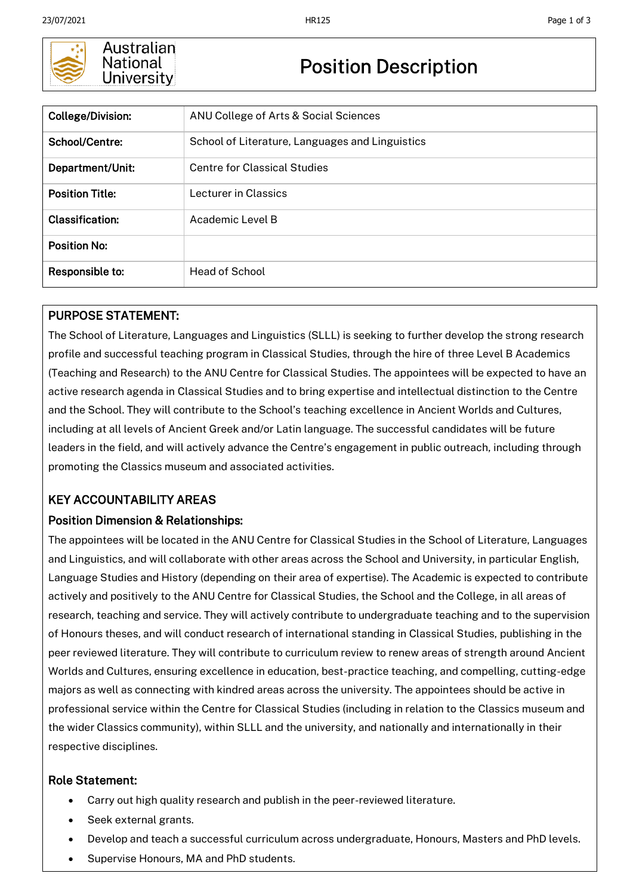

### Australian National University

# Position Description

| <b>College/Division:</b> | ANU College of Arts & Social Sciences           |
|--------------------------|-------------------------------------------------|
| School/Centre:           | School of Literature, Languages and Linguistics |
| Department/Unit:         | Centre for Classical Studies                    |
| <b>Position Title:</b>   | Lecturer in Classics                            |
| <b>Classification:</b>   | Academic Level B                                |
| <b>Position No:</b>      |                                                 |
| Responsible to:          | <b>Head of School</b>                           |

## PURPOSE STATEMENT:

The School of Literature, Languages and Linguistics (SLLL) is seeking to further develop the strong research profile and successful teaching program in Classical Studies, through the hire of three Level B Academics (Teaching and Research) to the ANU Centre for Classical Studies. The appointees will be expected to have an active research agenda in Classical Studies and to bring expertise and intellectual distinction to the Centre and the School. They will contribute to the School's teaching excellence in Ancient Worlds and Cultures, including at all levels of Ancient Greek and/or Latin language. The successful candidates will be future leaders in the field, and will actively advance the Centre's engagement in public outreach, including through promoting the Classics museum and associated activities.

## KEY ACCOUNTABILITY AREAS

### Position Dimension & Relationships:

The appointees will be located in the ANU Centre for Classical Studies in the School of Literature, Languages and Linguistics, and will collaborate with other areas across the School and University, in particular English, Language Studies and History (depending on their area of expertise). The Academic is expected to contribute actively and positively to the ANU Centre for Classical Studies, the School and the College, in all areas of research, teaching and service. They will actively contribute to undergraduate teaching and to the supervision of Honours theses, and will conduct research of international standing in Classical Studies, publishing in the peer reviewed literature. They will contribute to curriculum review to renew areas of strength around Ancient Worlds and Cultures, ensuring excellence in education, best-practice teaching, and compelling, cutting-edge majors as well as connecting with kindred areas across the university. The appointees should be active in professional service within the Centre for Classical Studies (including in relation to the Classics museum and the wider Classics community), within SLLL and the university, and nationally and internationally in their respective disciplines.

### Role Statement:

- Carry out high quality research and publish in the peer-reviewed literature.
- Seek external grants.
- Develop and teach a successful curriculum across undergraduate, Honours, Masters and PhD levels.
- Supervise Honours, MA and PhD students.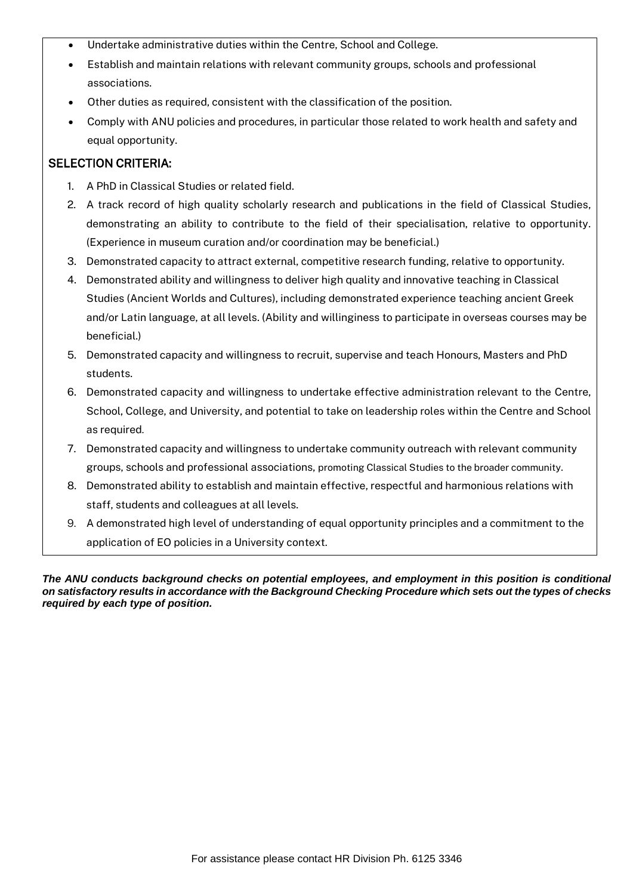- Undertake administrative duties within the Centre, School and College.
- Establish and maintain relations with relevant community groups, schools and professional associations.
- Other duties as required, consistent with the classification of the position.
- Comply with ANU policies and procedures, in particular those related to work health and safety and equal opportunity.

#### SELECTION CRITERIA:

- 1. A PhD in Classical Studies or related field.
- 2. A track record of high quality scholarly research and publications in the field of Classical Studies, demonstrating an ability to contribute to the field of their specialisation, relative to opportunity. (Experience in museum curation and/or coordination may be beneficial.)
- 3. Demonstrated capacity to attract external, competitive research funding, relative to opportunity.
- 4. Demonstrated ability and willingness to deliver high quality and innovative teaching in Classical Studies (Ancient Worlds and Cultures), including demonstrated experience teaching ancient Greek and/or Latin language, at all levels. (Ability and willinginess to participate in overseas courses may be beneficial.)
- 5. Demonstrated capacity and willingness to recruit, supervise and teach Honours, Masters and PhD students.
- 6. Demonstrated capacity and willingness to undertake effective administration relevant to the Centre, School, College, and University, and potential to take on leadership roles within the Centre and School as required.
- 7. Demonstrated capacity and willingness to undertake community outreach with relevant community groups, schools and professional associations, promoting Classical Studies to the broader community.
- 8. Demonstrated ability to establish and maintain effective, respectful and harmonious relations with staff, students and colleagues at all levels.
- 9. A demonstrated high level of understanding of equal opportunity principles and a commitment to the application of EO policies in a University context.

*The ANU conducts background checks on potential employees, and employment in this position is conditional on satisfactory results in accordance with the Background Checking Procedure which sets out the types of checks required by each type of position.*